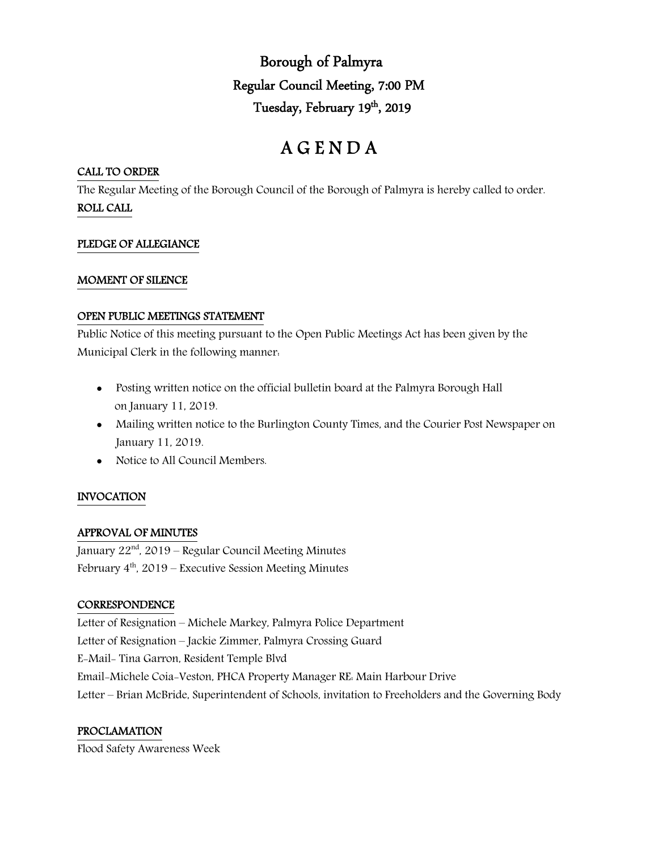Borough of Palmyra Regular Council Meeting, 7:00 PM Tuesday, February 19th, 2019

# A G E N D A

## CALL TO ORDER

The Regular Meeting of the Borough Council of the Borough of Palmyra is hereby called to order. ROLL CALL

# PLEDGE OF ALLEGIANCE

#### MOMENT OF SILENCE

#### OPEN PUBLIC MEETINGS STATEMENT

Public Notice of this meeting pursuant to the Open Public Meetings Act has been given by the Municipal Clerk in the following manner:

- Posting written notice on the official bulletin board at the Palmyra Borough Hall on January 11, 2019.
- Mailing written notice to the Burlington County Times, and the Courier Post Newspaper on January 11, 2019.
- Notice to All Council Members.

# INVOCATION

# APPROVAL OF MINUTES

January  $22<sup>nd</sup>$ , 2019 – Regular Council Meeting Minutes February  $4<sup>th</sup>$ , 2019 – Executive Session Meeting Minutes

#### **CORRESPONDENCE**

Letter of Resignation – Michele Markey, Palmyra Police Department Letter of Resignation – Jackie Zimmer, Palmyra Crossing Guard E-Mail- Tina Garron, Resident Temple Blvd Email-Michele Coia-Veston, PHCA Property Manager RE: Main Harbour Drive Letter – Brian McBride, Superintendent of Schools, invitation to Freeholders and the Governing Body

# PROCLAMATION

Flood Safety Awareness Week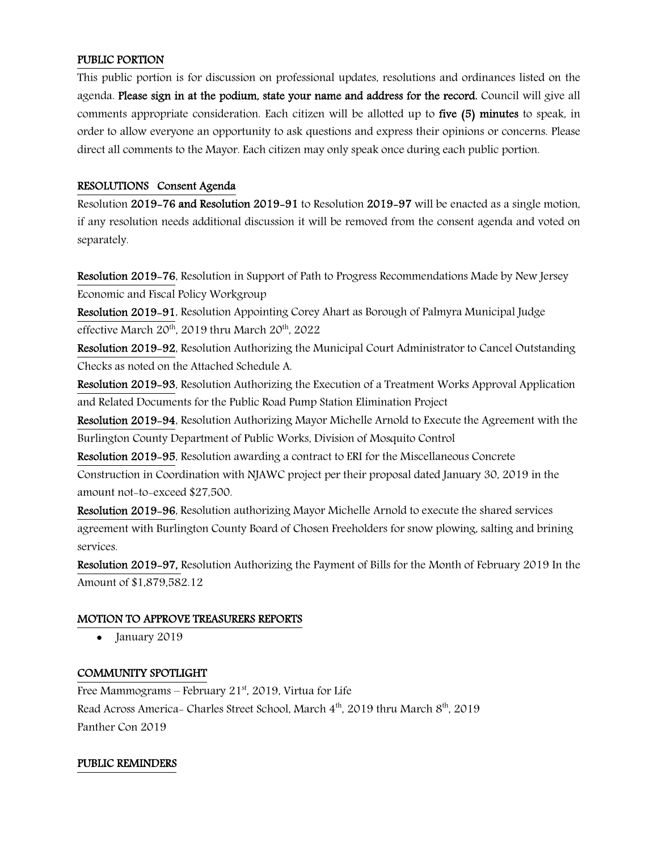## PUBLIC PORTION

This public portion is for discussion on professional updates, resolutions and ordinances listed on the agenda. Please sign in at the podium, state your name and address for the record. Council will give all comments appropriate consideration. Each citizen will be allotted up to five (5) minutes to speak, in order to allow everyone an opportunity to ask questions and express their opinions or concerns. Please direct all comments to the Mayor. Each citizen may only speak once during each public portion.

## RESOLUTIONS Consent Agenda

Resolution 2019-76 and Resolution 2019-91 to Resolution 2019-97 will be enacted as a single motion, if any resolution needs additional discussion it will be removed from the consent agenda and voted on separately.

Resolution 2019-76, Resolution in Support of Path to Progress Recommendations Made by New Jersey Economic and Fiscal Policy Workgroup

Resolution 2019-91, Resolution Appointing Corey Ahart as Borough of Palmyra Municipal Judge effective March  $20^{th}$ ,  $2019$  thru March  $20^{th}$ ,  $2022$ 

Resolution 2019-92, Resolution Authorizing the Municipal Court Administrator to Cancel Outstanding Checks as noted on the Attached Schedule A.

Resolution 2019-93, Resolution Authorizing the Execution of a Treatment Works Approval Application and Related Documents for the Public Road Pump Station Elimination Project

Resolution 2019-94, Resolution Authorizing Mayor Michelle Arnold to Execute the Agreement with the Burlington County Department of Public Works, Division of Mosquito Control

Resolution 2019-95, Resolution awarding a contract to ERI for the Miscellaneous Concrete Construction in Coordination with NJAWC project per their proposal dated January 30, 2019 in the amount not-to-exceed \$27,500.

Resolution 2019-96, Resolution authorizing Mayor Michelle Arnold to execute the shared services agreement with Burlington County Board of Chosen Freeholders for snow plowing, salting and brining services.

Resolution 2019-97, Resolution Authorizing the Payment of Bills for the Month of February 2019 In the Amount of \$1,879,582.12

#### MOTION TO APPROVE TREASURERS REPORTS

January 2019

#### COMMUNITY SPOTLIGHT

Free Mammograms – February 21 $\mathrm{^{st}}$ , 2019, Virtua for Life Read Across America- Charles Street School, March  $4^{\text{th}}$ , 2019 thru March  $8^{\text{th}}$ , 2019 Panther Con 2019

#### PUBLIC REMINDERS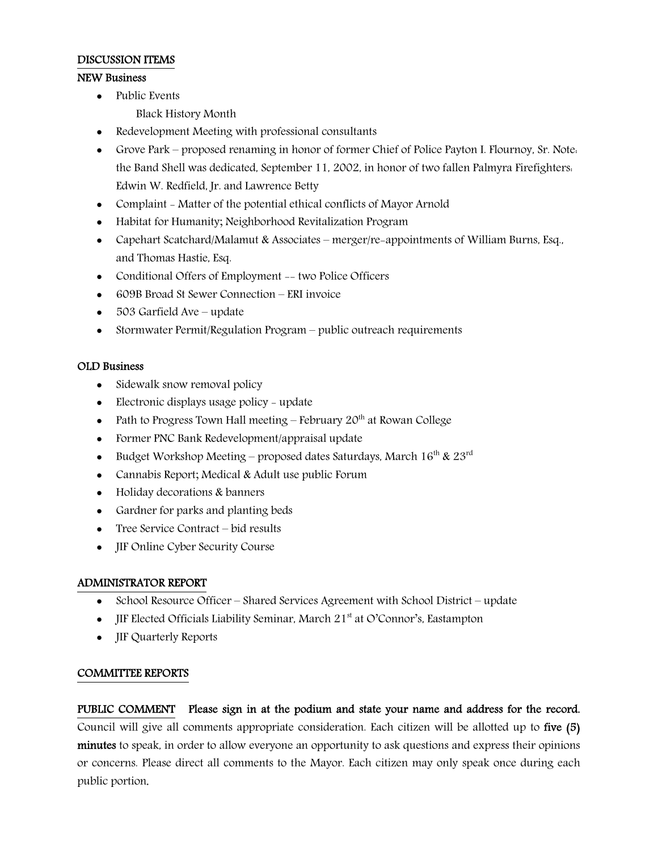## DISCUSSION ITEMS

## NEW Business

- Public Events
	- Black History Month
- Redevelopment Meeting with professional consultants
- Grove Park proposed renaming in honor of former Chief of Police Payton I. Flournoy, Sr. Note: the Band Shell was dedicated, September 11, 2002, in honor of two fallen Palmyra Firefighters: Edwin W. Redfield, Jr. and Lawrence Betty
- Complaint Matter of the potential ethical conflicts of Mayor Arnold
- Habitat for Humanity; Neighborhood Revitalization Program
- Capehart Scatchard/Malamut & Associates merger/re-appointments of William Burns, Esq., and Thomas Hastie, Esq.
- Conditional Offers of Employment -- two Police Officers
- 609B Broad St Sewer Connection ERI invoice
- 503 Garfield Ave update
- Stormwater Permit/Regulation Program public outreach requirements

#### OLD Business

- Sidewalk snow removal policy
- Electronic displays usage policy update
- Path to Progress Town Hall meeting  $-$  February 20<sup>th</sup> at Rowan College
- Former PNC Bank Redevelopment/appraisal update
- Budget Workshop Meeting proposed dates Saturdays, March  $16^{th}$  &  $23^{rd}$
- Cannabis Report; Medical & Adult use public Forum
- Holiday decorations & banners
- Gardner for parks and planting beds
- Tree Service Contract bid results
- **JIF Online Cyber Security Course**

#### ADMINISTRATOR REPORT

- School Resource Officer Shared Services Agreement with School District update
- **IIF Elected Officials Liability Seminar, March 21st at O'Connor's, Eastampton**
- JIF Quarterly Reports

#### COMMITTEE REPORTS

PUBLIC COMMENT Please sign in at the podium and state your name and address for the record. Council will give all comments appropriate consideration. Each citizen will be allotted up to five (5) minutes to speak, in order to allow everyone an opportunity to ask questions and express their opinions or concerns. Please direct all comments to the Mayor. Each citizen may only speak once during each public portion.